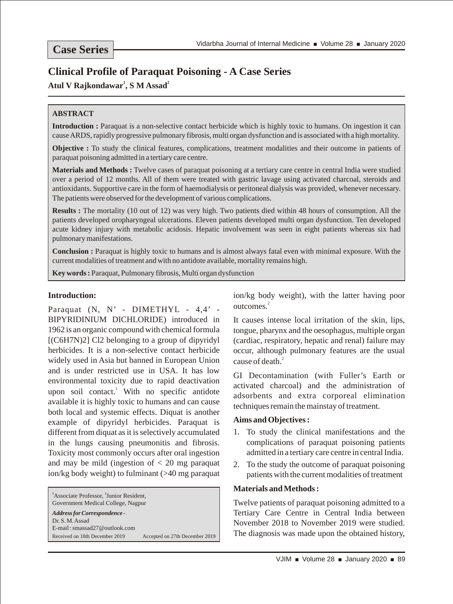# **Clinical Profile of Paraquat Poisoning - A Case Series**

## **1 2 Atul V Rajkondawar , S M Assad**

#### **ABSTRACT**

**Introduction :** Paraquat is a non-selective contact herbicide which is highly toxic to humans. On ingestion it can cause ARDS, rapidly progressive pulmonary fibrosis, multi organ dysfunction and is associated with a high mortality.

**Objective :** To study the clinical features, complications, treatment modalities and their outcome in patients of paraquat poisoning admitted in a tertiary care centre.

**Materials and Methods :** Twelve cases of paraquat poisoning at a tertiary care centre in central India were studied over a period of 12 months. All of them were treated with gastric lavage using activated charcoal, steroids and antioxidants. Supportive care in the form of haemodialysis or peritoneal dialysis was provided, whenever necessary. The patients were observed for the development of various complications.

**Results :** The mortality (10 out of 12) was very high. Two patients died within 48 hours of consumption. All the patients developed oropharyngeal ulcerations. Eleven patients developed multi organ dysfunction. Ten developed acute kidney injury with metabolic acidosis. Hepatic involvement was seen in eight patients whereas six had pulmonary manifestations.

**Conclusion :** Paraquat is highly toxic to humans and is almost always fatal even with minimal exposure. With the current modalities of treatment and with no antidote available, mortality remains high.

**Key words :** Paraquat, Pulmonary fibrosis, Multi organ dysfunction

#### **Introduction:**

Paraquat (N, N' - DIMETHYL - 4,4' -BIPYRIDINIUM DICHLORIDE) introduced in 1962 is an organic compound with chemical formula [(C6H7N)2] Cl2 belonging to a group of dipyridyl herbicides. It is a non-selective contact herbicide widely used in Asia but banned in European Union and is under restricted use in USA. It has low environmental toxicity due to rapid deactivation upon soil contact.<sup>1</sup> With no specific antidote available it is highly toxic to humans and can cause both local and systemic effects. Diquat is another example of dipyridyl herbicides. Paraquat is different from diquat as it is selectively accumulated in the lungs causing pneumonitis and fibrosis. Toxicity most commonly occurs after oral ingestion and may be mild (ingestion of  $<$  20 mg paraquat ion/kg body weight) to fulminant (>40 mg paraquat

<sup>1</sup> Associate Professor, <sup>2</sup> Junior Resident, Government Medical College, Nagpur

*Address for Correspondence -* Dr. S. M. Assad E-mail : smassad27@outlook.com Received on 18th December 2019 Accepted on 27th December 2019 ion/kg body weight), with the latter having poor outcomes.<sup>2</sup>

It causes intense local irritation of the skin, lips, tongue, pharynx and the oesophagus, multiple organ (cardiac, respiratory, hepatic and renal) failure may occur, although pulmonary features are the usual cause of death.<sup>2</sup>

GI Decontamination (with Fuller's Earth or activated charcoal) and the administration of adsorbents and extra corporeal elimination techniques remain the mainstay of treatment.

#### **Aims and Objectives :**

- 1. To study the clinical manifestations and the complications of paraquat poisoning patients admitted in a tertiary care centre in central India.
- 2. To the study the outcome of paraquat poisoning patients with the current modalities of treatment

#### **Materials and Methods :**

Twelve patients of paraquat poisoning admitted to a Tertiary Care Centre in Central India between November 2018 to November 2019 were studied. The diagnosis was made upon the obtained history,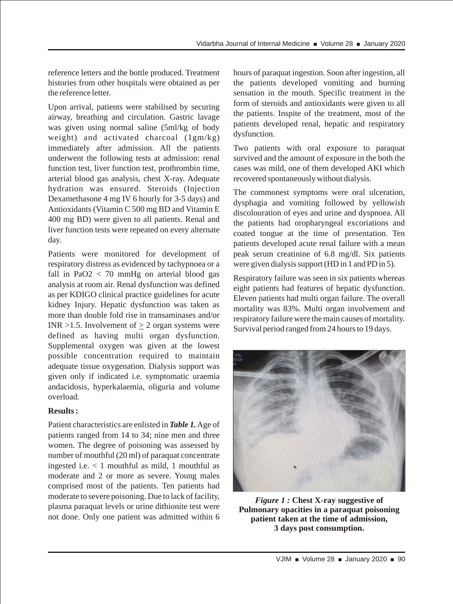reference letters and the bottle produced. Treatment histories from other hospitals were obtained as per the reference letter.

Upon arrival, patients were stabilised by securing airway, breathing and circulation. Gastric lavage was given using normal saline (5ml/kg of body weight) and activated charcoal (1gm/kg) immediately after admission. All the patients underwent the following tests at admission: renal function test, liver function test, prothrombin time, arterial blood gas analysis, chest X-ray. Adequate hydration was ensured. Steroids (Injection Dexamethasone 4 mg IV 6 hourly for 3-5 days) and Antioxidants (Vitamin C 500 mg BD and Vitamin E 400 mg BD) were given to all patients. Renal and liver function tests were repeated on every alternate day.

Patients were monitored for development of respiratory distress as evidenced by tachypnoea or a fall in PaO $2 < 70$  mmHg on arterial blood gas analysis at room air. Renal dysfunction was defined as per KDIGO clinical practice guidelines for acute kidney Injury. Hepatic dysfunction was taken as more than double fold rise in transaminases and/or INR  $>1.5$ . Involvement of  $>2$  organ systems were defined as having multi organ dysfunction. Supplemental oxygen was given at the lowest possible concentration required to maintain adequate tissue oxygenation. Dialysis support was given only if indicated i.e. symptomatic uraemia andacidosis, hyperkalaemia, oliguria and volume overload.

#### **Results :**

Patient characteristics are enlisted in *Table 1.* Age of patients ranged from 14 to 34; nine men and three women. The degree of poisoning was assessed by number of mouthful (20 ml) of paraquat concentrate ingested i.e. < 1 mouthful as mild, 1 mouthful as moderate and 2 or more as severe. Young males comprised most of the patients. Ten patients had moderate to severe poisoning. Due to lack of facility, plasma paraquat levels or urine dithionite test were not done. Only one patient was admitted within 6

hours of paraquat ingestion. Soon after ingestion, all the patients developed vomiting and burning sensation in the mouth. Specific treatment in the form of steroids and antioxidants were given to all the patients. Inspite of the treatment, most of the patients developed renal, hepatic and respiratory dysfunction.

Two patients with oral exposure to paraquat survived and the amount of exposure in the both the cases was mild, one of them developed AKI which recovered spontaneously without dialysis.

The commonest symptoms were oral ulceration, dysphagia and vomiting followed by yellowish discolouration of eyes and urine and dyspnoea. All the patients had oropharyngeal excoriations and coated tongue at the time of presentation. Ten patients developed acute renal failure with a mean peak serum creatinine of 6.8 mg/dl. Six patients were given dialysis support (HD in 1 and PD in 5).

Respiratory failure was seen in six patients whereas eight patients had features of hepatic dysfunction. Eleven patients had multi organ failure. The overall mortality was 83%. Multi organ involvement and respiratory failure were the main causes of mortality. Survival period ranged from 24 hours to 19 days.



*Figure 1 :* **Chest X-ray suggestive of Pulmonary opacities in a paraquat poisoning patient taken at the time of admission, 3 days post consumption.**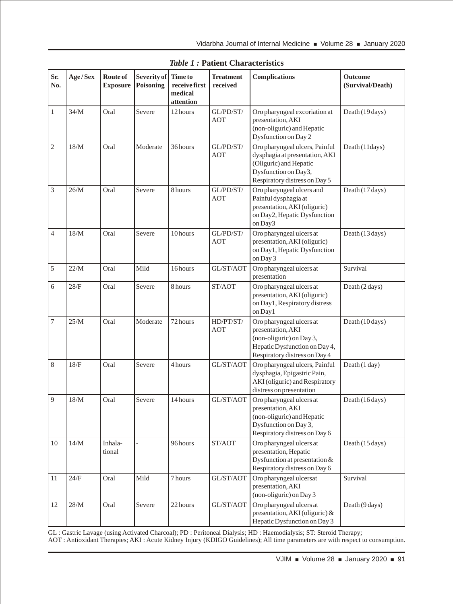| Sr.<br>No.     | Age/Sex | Route of<br><b>Exposure</b> | Severity of<br><b>Poisoning</b> | <b>Time to</b><br>receive first<br>medical<br>attention | <b>Treatment</b><br>received | <b>Complications</b>                                                                                                                                | Outcome<br>(Survival/Death) |
|----------------|---------|-----------------------------|---------------------------------|---------------------------------------------------------|------------------------------|-----------------------------------------------------------------------------------------------------------------------------------------------------|-----------------------------|
| $\,1$          | 34/M    | Oral                        | Severe                          | 12 hours                                                | GL/PD/ST/<br><b>AOT</b>      | Oro pharyngeal excoriation at<br>presentation, AKI<br>(non-oliguric) and Hepatic<br>Dysfunction on Day 2                                            | Death (19 days)             |
| $\mathfrak{2}$ | $18/M$  | Oral                        | Moderate                        | 36 hours                                                | GL/PD/ST/<br><b>AOT</b>      | Oro pharyngeal ulcers, Painful<br>dysphagia at presentation, AKI<br>(Oliguric) and Hepatic<br>Dysfunction on Day3,<br>Respiratory distress on Day 5 | Death (11days)              |
| 3              | 26/M    | Oral                        | Severe                          | 8 hours                                                 | GL/PD/ST/<br><b>AOT</b>      | Oro pharyngeal ulcers and<br>Painful dysphagia at<br>presentation, AKI (oliguric)<br>on Day2, Hepatic Dysfunction<br>on Day3                        | Death (17 days)             |
| $\overline{4}$ | $18/M$  | Oral                        | Severe                          | 10 hours                                                | GL/PD/ST/<br><b>AOT</b>      | Oro pharyngeal ulcers at<br>presentation, AKI (oliguric)<br>on Day1, Hepatic Dysfunction<br>on Day 3                                                | Death (13 days)             |
| 5              | 22/M    | Oral                        | Mild                            | 16 hours                                                | GL/ST/AOT                    | Oro pharyngeal ulcers at<br>presentation                                                                                                            | Survival                    |
| 6              | 28/F    | Oral                        | Severe                          | 8 hours                                                 | ST/AOT                       | Oro pharyngeal ulcers at<br>presentation, AKI (oliguric)<br>on Day1, Respiratory distress<br>on Day1                                                | Death (2 days)              |
| 7              | 25/M    | Oral                        | Moderate                        | 72 hours                                                | HD/PT/ST/<br><b>AOT</b>      | Oro pharyngeal ulcers at<br>presentation, AKI<br>(non-oliguric) on Day 3,<br>Hepatic Dysfunction on Day 4,<br>Respiratory distress on Day 4         | Death (10 days)             |
| 8              | 18/F    | Oral                        | Severe                          | 4 hours                                                 | GL/ST/AOT                    | Oro pharyngeal ulcers, Painful<br>dysphagia, Epigastric Pain,<br>AKI (oliguric) and Respiratory<br>distress on presentation                         | Death (1 day)               |
| 9              | $18/M$  | Oral                        | Severe                          | 14 hours                                                | GL/ST/AOT                    | Oro pharyngeal ulcers at<br>presentation, AKI<br>(non-oliguric) and Hepatic<br>Dysfunction on Day 3,<br>Respiratory distress on Day 6               | Death (16 days)             |
| 10             | $14/M$  | Inhala-<br>tional           |                                 | 96 hours                                                | ST/AOT                       | Oro pharyngeal ulcers at<br>presentation, Hepatic<br>Dysfunction at presentation $&$<br>Respiratory distress on Day 6                               | Death (15 days)             |
| 11             | 24/F    | Oral                        | Mild                            | 7 hours                                                 | GL/ST/AOT                    | Oro pharyngeal ulcersat<br>presentation, AKI<br>(non-oliguric) on Day 3                                                                             | Survival                    |
| 12             | $28/M$  | Oral                        | Severe                          | 22 hours                                                | GL/ST/AOT                    | Oro pharyngeal ulcers at<br>presentation, AKI (oliguric) $&$<br>Hepatic Dysfunction on Day 3                                                        | Death (9 days)              |

*Table 1 :* **Patient Characteristics**

GL : Gastric Lavage (using Activated Charcoal); PD : Peritoneal Dialysis; HD : Haemodialysis; ST: Steroid Therapy; AOT : Antioxidant Therapies; AKI : Acute Kidney Injury (KDIGO Guidelines); All time parameters are with respect to consumption.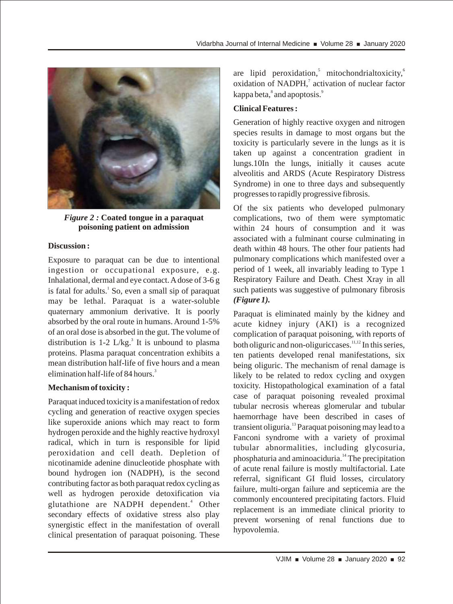

*Figure 2 :* **Coated tongue in a paraquat poisoning patient on admission**

### **Discussion :**

Exposure to paraquat can be due to intentional ingestion or occupational exposure, e.g. Inhalational, dermal and eye contact. A dose of 3-6 g is fatal for adults.<sup>1</sup> So, even a small sip of paraquat may be lethal. Paraquat is a water-soluble quaternary ammonium derivative. It is poorly absorbed by the oral route in humans. Around 1-5% of an oral dose is absorbed in the gut. The volume of distribution is 1-2 L/kg.<sup>3</sup> It is unbound to plasma proteins. Plasma paraquat concentration exhibits a mean distribution half-life of five hours and a mean elimination half-life of 84 hours.<sup>3</sup>

### **Mechanism of toxicity :**

Paraquat induced toxicity is a manifestation of redox cycling and generation of reactive oxygen species like superoxide anions which may react to form hydrogen peroxide and the highly reactive hydroxyl radical, which in turn is responsible for lipid peroxidation and cell death. Depletion of nicotinamide adenine dinucleotide phosphate with bound hydrogen ion (NADPH), is the second contributing factor as both paraquat redox cycling as well as hydrogen peroxide detoxification via glutathione are NADPH dependent.<sup>4</sup> Other secondary effects of oxidative stress also play synergistic effect in the manifestation of overall clinical presentation of paraquat poisoning. These

are lipid peroxidation,<sup>5</sup> mitochondrialtoxicity, $6$ oxidation of NADPH,<sup>7</sup> activation of nuclear factor  $kappa<sub>8</sub>$  and apoptosis.<sup>9</sup>

### **Clinical Features :**

Generation of highly reactive oxygen and nitrogen species results in damage to most organs but the toxicity is particularly severe in the lungs as it is taken up against a concentration gradient in lungs.10In the lungs, initially it causes acute alveolitis and ARDS (Acute Respiratory Distress Syndrome) in one to three days and subsequently progresses to rapidly progressive fibrosis.

Of the six patients who developed pulmonary complications, two of them were symptomatic within 24 hours of consumption and it was associated with a fulminant course culminating in death within 48 hours. The other four patients had pulmonary complications which manifested over a period of 1 week, all invariably leading to Type 1 Respiratory Failure and Death. Chest Xray in all such patients was suggestive of pulmonary fibrosis *(Figure 1).*

Paraquat is eliminated mainly by the kidney and acute kidney injury (AKI) is a recognized complication of paraquat poisoning, with reports of both oliguric and non-oliguric cases.  $\frac{11,12}{10}$  In this series, ten patients developed renal manifestations, six being oliguric. The mechanism of renal damage is likely to be related to redox cycling and oxygen toxicity. Histopathological examination of a fatal case of paraquat poisoning revealed proximal tubular necrosis whereas glomerular and tubular haemorrhage have been described in cases of transient oliguria.<sup>13</sup> Paraquat poisoning may lead to a Fanconi syndrome with a variety of proximal tubular abnormalities, including glycosuria, <sup>14</sup> phosphaturia and aminoaciduria. The precipitation of acute renal failure is mostly multifactorial. Late referral, significant GI fluid losses, circulatory failure, multi-organ failure and septicemia are the commonly encountered precipitating factors. Fluid replacement is an immediate clinical priority to prevent worsening of renal functions due to hypovolemia.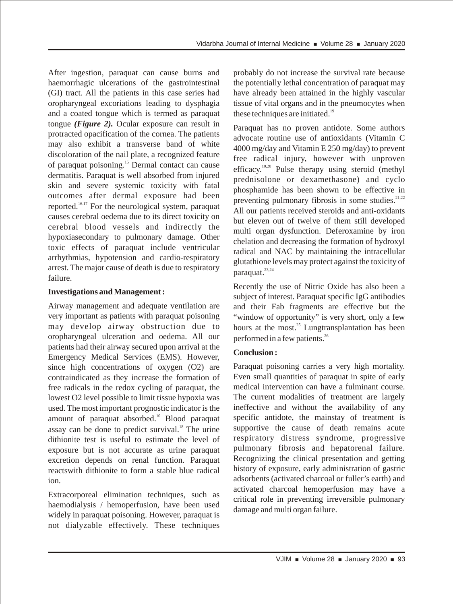After ingestion, paraquat can cause burns and haemorrhagic ulcerations of the gastrointestinal (GI) tract. All the patients in this case series had oropharyngeal excoriations leading to dysphagia and a coated tongue which is termed as paraquat tongue *(Figure 2).* Ocular exposure can result in protracted opacification of the cornea. The patients may also exhibit a transverse band of white discoloration of the nail plate, a recognized feature of paraquat poisoning.<sup>15</sup> Dermal contact can cause dermatitis. Paraquat is well absorbed from injured skin and severe systemic toxicity with fatal outcomes after dermal exposure had been reported. $16.17$  For the neurological system, paraquat causes cerebral oedema due to its direct toxicity on cerebral blood vessels and indirectly the hypoxiasecondary to pulmonary damage. Other toxic effects of paraquat include ventricular arrhythmias, hypotension and cardio-respiratory arrest. The major cause of death is due to respiratory failure.

### **Investigations and Management :**

Airway management and adequate ventilation are very important as patients with paraquat poisoning may develop airway obstruction due to oropharyngeal ulceration and oedema. All our patients had their airway secured upon arrival at the Emergency Medical Services (EMS). However, since high concentrations of oxygen (O2) are contraindicated as they increase the formation of free radicals in the redox cycling of paraquat, the lowest O2 level possible to limit tissue hypoxia was used. The most important prognostic indicator is the amount of paraquat absorbed.<sup>10</sup> Blood paraquat assay can be done to predict survival. $\overline{ }^{\text{18}}$  The urine dithionite test is useful to estimate the level of exposure but is not accurate as urine paraquat excretion depends on renal function. Paraquat reactswith dithionite to form a stable blue radical ion.

Extracorporeal elimination techniques, such as haemodialysis / hemoperfusion, have been used widely in paraquat poisoning. However, paraquat is not dialyzable effectively. These techniques

probably do not increase the survival rate because the potentially lethal concentration of paraquat may have already been attained in the highly vascular tissue of vital organs and in the pneumocytes when these techniques are initiated. $19$ 

Paraquat has no proven antidote. Some authors advocate routine use of antioxidants (Vitamin C 4000 mg/day and Vitamin E 250 mg/day) to prevent free radical injury, however with unproven efficacy. $10,20$  Pulse therapy using steroid (methyl prednisolone or dexamethasone) and cyclo phosphamide has been shown to be effective in preventing pulmonary fibrosis in some studies. $21,22$ All our patients received steroids and anti-oxidants but eleven out of twelve of them still developed multi organ dysfunction. Deferoxamine by iron chelation and decreasing the formation of hydroxyl radical and NAC by maintaining the intracellular glutathione levels may protect against the toxicity of 23,24 paraquat.

Recently the use of Nitric Oxide has also been a subject of interest. Paraquat specific IgG antibodies and their Fab fragments are effective but the "window of opportunity" is very short, only a few hours at the most. $^{25}$  Lungtransplantation has been performed in a few patients.<sup>26</sup>

### **Conclusion :**

Paraquat poisoning carries a very high mortality. Even small quantities of paraquat in spite of early medical intervention can have a fulminant course. The current modalities of treatment are largely ineffective and without the availability of any specific antidote, the mainstay of treatment is supportive the cause of death remains acute respiratory distress syndrome, progressive pulmonary fibrosis and hepatorenal failure. Recognizing the clinical presentation and getting history of exposure, early administration of gastric adsorbents (activated charcoal or fuller's earth) and activated charcoal hemoperfusion may have a critical role in preventing irreversible pulmonary damage and multi organ failure.